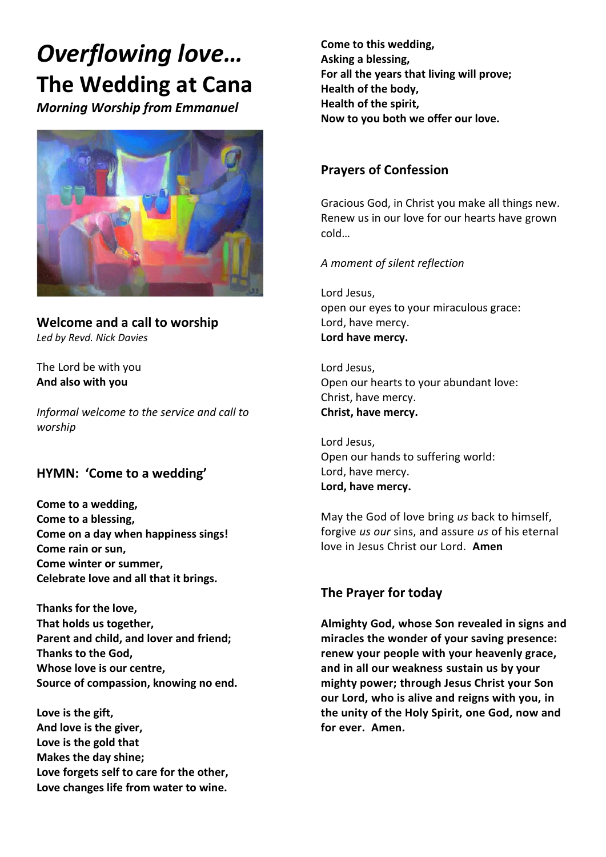# *Overflowing love…* **The Wedding at Cana**

*Morning Worship from Emmanuel*



### **Welcome and a call to worship**  *Led by Revd. Nick Davies*

The Lord be with you **And also with you**

*Informal welcome to the service and call to worship*

# **HYMN: 'Come to a wedding'**

**Come to a wedding, Come to a blessing, Come on a day when happiness sings! Come rain or sun, Come winter or summer, Celebrate love and all that it brings.**

**Thanks for the love, That holds us together, Parent and child, and lover and friend; Thanks to the God, Whose love is our centre, Source of compassion, knowing no end.**

**Love is the gift, And love is the giver, Love is the gold that Makes the day shine; Love forgets self to care for the other, Love changes life from water to wine.**

**Come to this wedding, Asking a blessing, For all the years that living will prove; Health of the body, Health of the spirit, Now to you both we offer our love.**

# **Prayers of Confession**

Gracious God, in Christ you make all things new. Renew us in our love for our hearts have grown cold…

*A moment of silent reflection*

Lord Jesus, open our eyes to your miraculous grace: Lord, have mercy. **Lord have mercy.**

Lord Jesus, Open our hearts to your abundant love: Christ, have mercy. **Christ, have mercy.**

Lord Jesus, Open our hands to suffering world: Lord, have mercy. **Lord, have mercy.**

May the God of love bring *us* back to himself, forgive *us our* sins, and assure *us* of his eternal love in Jesus Christ our Lord. **Amen**

# **The Prayer for today**

**Almighty God, whose Son revealed in signs and miracles the wonder of your saving presence: renew your people with your heavenly grace, and in all our weakness sustain us by your mighty power; through Jesus Christ your Son our Lord, who is alive and reigns with you, in the unity of the Holy Spirit, one God, now and for ever. Amen.**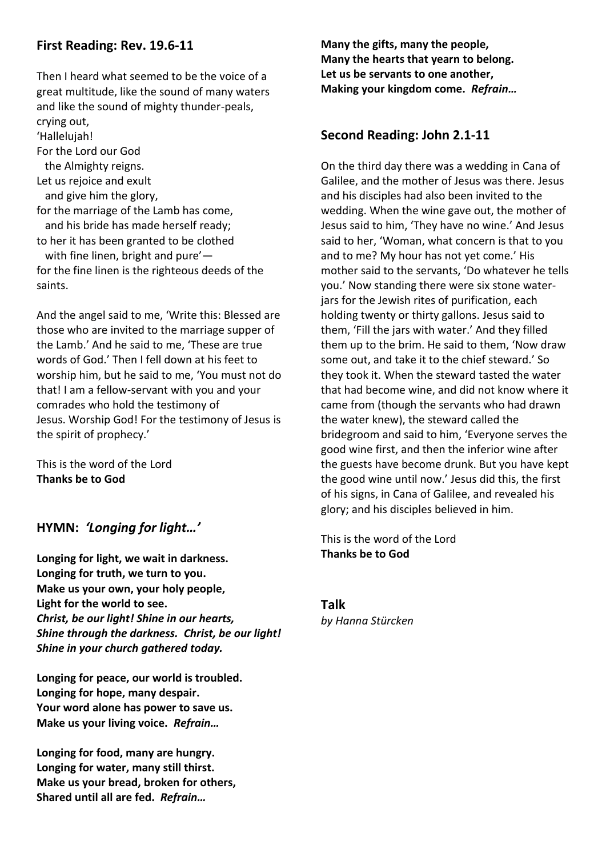Then I heard what seemed to be the voice of a great multitude, like the sound of many waters and like the sound of mighty thunder-peals, crying out, 'Hallelujah! For the Lord our God the Almighty reigns. Let us rejoice and exult and give him the glory, for the marriage of the Lamb has come, and his bride has made herself ready; to her it has been granted to be clothed with fine linen, bright and pure' for the fine linen is the righteous deeds of the saints. And the angel said to me, 'Write this: Blessed are

those who are invited to the marriage supper of the Lamb.' And he said to me, 'These are true words of God.' Then I fell down at his feet to worship him, but he said to me, 'You must not do that! I am a fellow-servant with you and your comrades who hold the testimony of Jesus. Worship God! For the testimony of Jesus is the spirit of prophecy.'

This is the word of the Lord **Thanks be to God**

# **HYMN:** *'Longing for light…'*

**Longing for light, we wait in darkness. Longing for truth, we turn to you. Make us your own, your holy people, Light for the world to see.** *Christ, be our light! Shine in our hearts, Shine through the darkness. Christ, be our light! Shine in your church gathered today.*

**Longing for peace, our world is troubled. Longing for hope, many despair. Your word alone has power to save us. Make us your living voice.** *Refrain…*

**Longing for food, many are hungry. Longing for water, many still thirst. Make us your bread, broken for others, Shared until all are fed.** *Refrain…*

**Many the gifts, many the people, Many the hearts that yearn to belong. Let us be servants to one another, Making your kingdom come.** *Refrain…*

## **Second Reading: John 2.1-11**

On the third day there was a wedding in Cana of Galilee, and the mother of Jesus was there. Jesus and his disciples had also been invited to the wedding. When the wine gave out, the mother of Jesus said to him, 'They have no wine.' And Jesus said to her, 'Woman, what concern is that to you and to me? My hour has not yet come.' His mother said to the servants, 'Do whatever he tells you.' Now standing there were six stone waterjars for the Jewish rites of purification, each holding twenty or thirty gallons. Jesus said to them, 'Fill the jars with water.' And they filled them up to the brim. He said to them, 'Now draw some out, and take it to the chief steward.' So they took it. When the steward tasted the water that had become wine, and did not know where it came from (though the servants who had drawn the water knew), the steward called the bridegroom and said to him, 'Everyone serves the good wine first, and then the inferior wine after the guests have become drunk. But you have kept the good wine until now.' Jesus did this, the first of his signs, in Cana of Galilee, and revealed his glory; and his disciples believed in him.

This is the word of the Lord **Thanks be to God**

#### **Talk**

*by [Hanna Stürcken](https://mail2.virginmedia.com/appsuite/)*